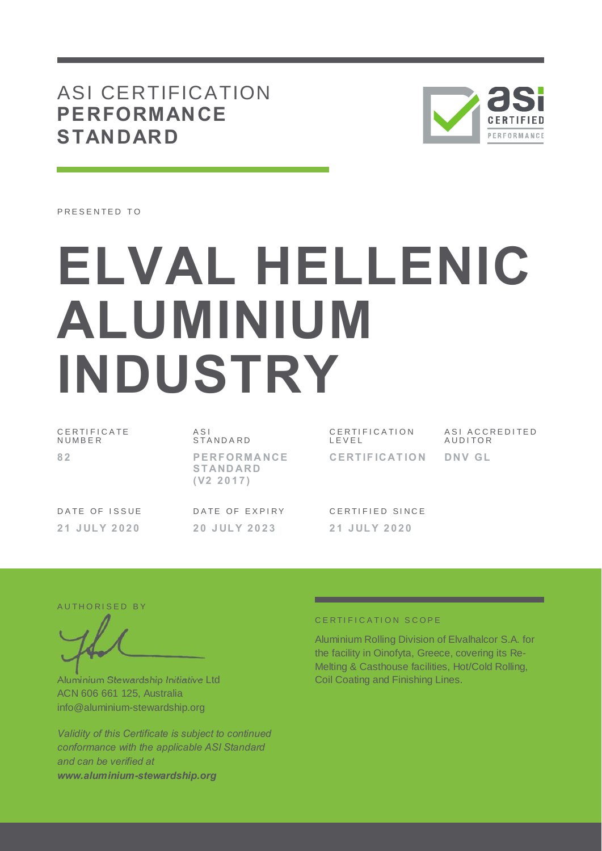## ASI CERTIFICATION **PERFORMANCE STANDARD**



PRESENTED TO

# **ELVAL HELLENIC ALUMINIUM INDUSTRY**

| CERTIFICATE<br>NUMBER | ASI<br>STANDARD                                    | CERTIFICATION<br>LEVEL | ASI ACCREDITED<br>AUDITOR |
|-----------------------|----------------------------------------------------|------------------------|---------------------------|
| 82                    | <b>PERFORMANCE</b><br><b>STANDARD</b><br>(V2 2017) | <b>CERTIFICATION</b>   | DNV GL                    |
| DATE OF ISSUE         | DATE OF EXPIRY                                     | CERTIFIED SINCE        |                           |
| 21 JULY 2020          | 20 JULY 2023                                       | 21 JULY 2020           |                           |

AUTHORISED BY

Aluminium Stewardship Initiative Ltd ACN 606 661 125, Australia info@aluminium-stewardship.org

*Validity of this Certificate is subject to continued conformance with the applicable ASI Standard and can be verified at www.aluminium-stewardship.org*

#### CERTIFICATION SCOPE

Aluminium Rolling Division of Elvalhalcor S.A. for the facility in Oinofyta, Greece, covering its Re-Melting & Casthouse facilities, Hot/Cold Rolling, Coil Coating and Finishing Lines.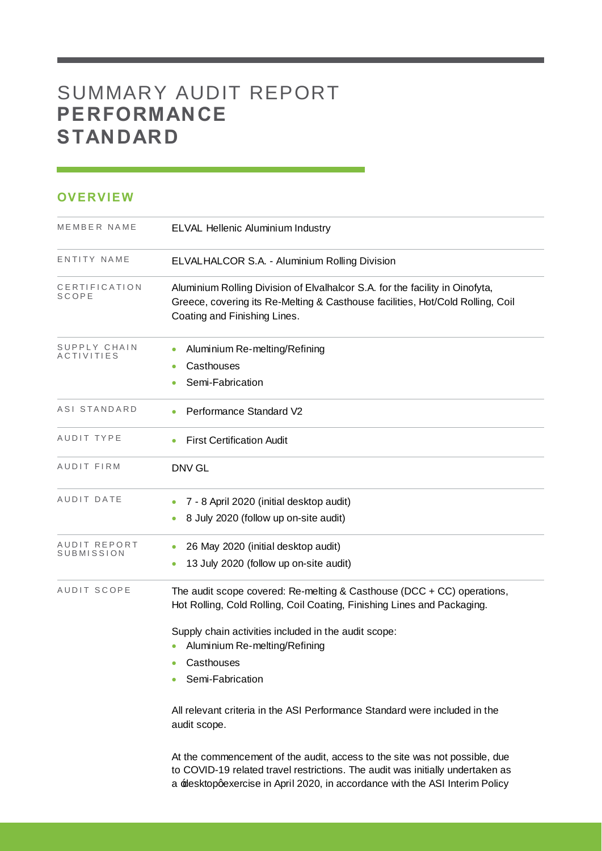## SUMMARY AUDIT REPORT **PERFORMANCE STANDARD**

#### **OVERVIEW**

| MEMBER NAME                       | ELVAL Hellenic Aluminium Industry                                                                                                                                                              |
|-----------------------------------|------------------------------------------------------------------------------------------------------------------------------------------------------------------------------------------------|
| ENTITY NAME                       | ELVALHALCOR S.A. - Aluminium Rolling Division                                                                                                                                                  |
| CERTIFICATION<br>SCOPE            | Aluminium Rolling Division of Elvalhalcor S.A. for the facility in Oinofyta,<br>Greece, covering its Re-Melting & Casthouse facilities, Hot/Cold Rolling, Coil<br>Coating and Finishing Lines. |
| SUPPLY CHAIN<br><b>ACTIVITIES</b> | Aluminium Re-melting/Refining                                                                                                                                                                  |
|                                   | Casthouses<br>Semi-Fabrication                                                                                                                                                                 |
| ASI STANDARD                      | Performance Standard V2                                                                                                                                                                        |
| AUDIT TYPE                        | <b>First Certification Audit</b>                                                                                                                                                               |
| AUDIT FIRM                        | <b>DNV GL</b>                                                                                                                                                                                  |
| AUDIT DATE                        | 7 - 8 April 2020 (initial desktop audit)                                                                                                                                                       |
|                                   | 8 July 2020 (follow up on-site audit)                                                                                                                                                          |
| AUDIT REPORT<br>SUBMISSION        | 26 May 2020 (initial desktop audit)<br>۰                                                                                                                                                       |
|                                   | 13 July 2020 (follow up on-site audit)                                                                                                                                                         |
| AUDIT SCOPE                       | The audit scope covered: Re-melting & Casthouse (DCC + CC) operations,<br>Hot Rolling, Cold Rolling, Coil Coating, Finishing Lines and Packaging.                                              |
|                                   | Supply chain activities included in the audit scope:<br>Aluminium Re-melting/Refining                                                                                                          |
|                                   | Casthouses<br>$\bullet$                                                                                                                                                                        |
|                                   | Semi-Fabrication                                                                                                                                                                               |
|                                   | All relevant criteria in the ASI Performance Standard were included in the<br>audit scope.                                                                                                     |
|                                   | At the commencement of the audit, access to the site was not possible, due<br>to COVID-19 related travel restrictions. The audit was initially undertaken as                                   |

a **Edesktop gexercise in April 2020**, in accordance with the ASI Interim Policy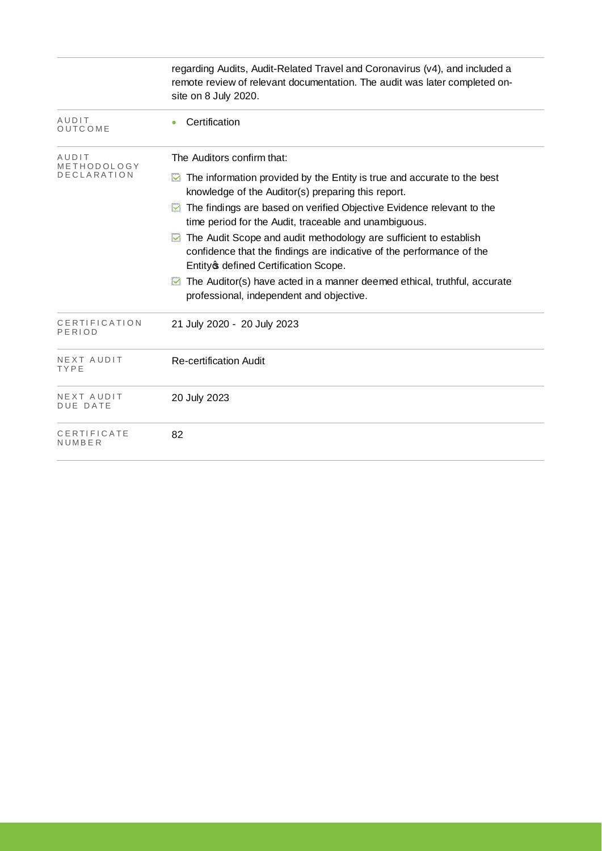|                         | regarding Audits, Audit-Related Travel and Coronavirus (v4), and included a<br>remote review of relevant documentation. The audit was later completed on-<br>site on 8 July 2020.         |
|-------------------------|-------------------------------------------------------------------------------------------------------------------------------------------------------------------------------------------|
| AUDIT<br>OUTCOME        | Certification                                                                                                                                                                             |
| AUDIT<br>METHODOLOGY    | The Auditors confirm that:                                                                                                                                                                |
| <b>DECLARATION</b>      | $\blacksquare$ The information provided by the Entity is true and accurate to the best<br>knowledge of the Auditor(s) preparing this report.                                              |
|                         | The findings are based on verified Objective Evidence relevant to the<br>time period for the Audit, traceable and unambiguous.                                                            |
|                         | The Audit Scope and audit methodology are sufficient to establish<br>M<br>confidence that the findings are indicative of the performance of the<br>Entity of defined Certification Scope. |
|                         | The Auditor(s) have acted in a manner deemed ethical, truthful, accurate<br>⊻<br>professional, independent and objective.                                                                 |
| CERTIFICATION<br>PERIOD | 21 July 2020 - 20 July 2023                                                                                                                                                               |
| NEXT AUDIT<br>TYPE      | <b>Re-certification Audit</b>                                                                                                                                                             |
| NEXT AUDIT<br>DUE DATE  | 20 July 2023                                                                                                                                                                              |
| CERTIFICATE<br>NUMBER   | 82                                                                                                                                                                                        |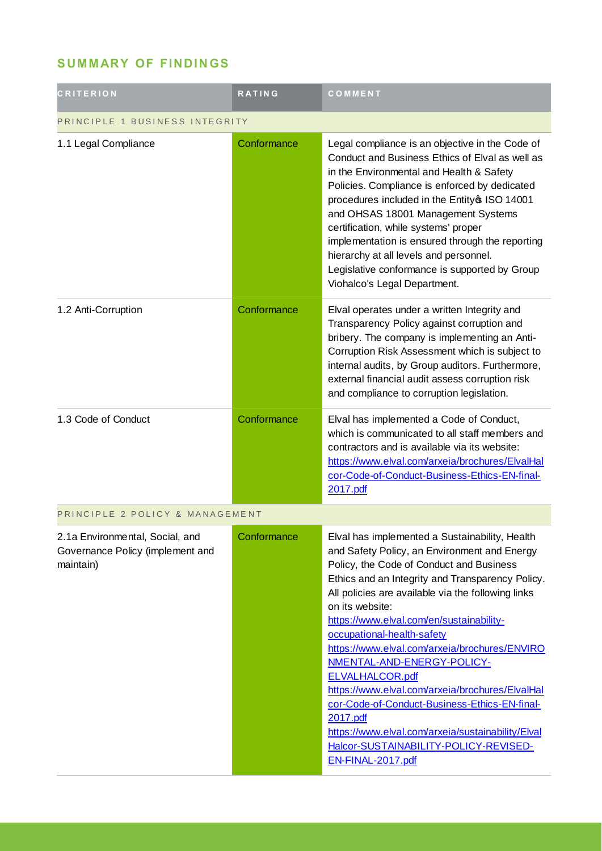## **SUMMARY OF FINDINGS**

| <b>CRITERION</b>                                                                 | <b>RATING</b> | COMMENT                                                                                                                                                                                                                                                                                                                                                                                                                                                                                                                                                                                                                                                                                              |  |
|----------------------------------------------------------------------------------|---------------|------------------------------------------------------------------------------------------------------------------------------------------------------------------------------------------------------------------------------------------------------------------------------------------------------------------------------------------------------------------------------------------------------------------------------------------------------------------------------------------------------------------------------------------------------------------------------------------------------------------------------------------------------------------------------------------------------|--|
| PRINCIPLE 1 BUSINESS INTEGRITY                                                   |               |                                                                                                                                                                                                                                                                                                                                                                                                                                                                                                                                                                                                                                                                                                      |  |
| 1.1 Legal Compliance                                                             | Conformance   | Legal compliance is an objective in the Code of<br>Conduct and Business Ethics of Elval as well as<br>in the Environmental and Health & Safety<br>Policies. Compliance is enforced by dedicated<br>procedures included in the Entity \$ ISO 14001<br>and OHSAS 18001 Management Systems<br>certification, while systems' proper<br>implementation is ensured through the reporting<br>hierarchy at all levels and personnel.<br>Legislative conformance is supported by Group<br>Viohalco's Legal Department.                                                                                                                                                                                        |  |
| 1.2 Anti-Corruption                                                              | Conformance   | Elval operates under a written Integrity and<br>Transparency Policy against corruption and<br>bribery. The company is implementing an Anti-<br>Corruption Risk Assessment which is subject to<br>internal audits, by Group auditors. Furthermore,<br>external financial audit assess corruption risk<br>and compliance to corruption legislation.                                                                                                                                                                                                                                                                                                                                                    |  |
| 1.3 Code of Conduct                                                              | Conformance   | Elval has implemented a Code of Conduct,<br>which is communicated to all staff members and<br>contractors and is available via its website:<br>https://www.elval.com/arxeia/brochures/ElvalHal<br>cor-Code-of-Conduct-Business-Ethics-EN-final-<br>2017.pdf                                                                                                                                                                                                                                                                                                                                                                                                                                          |  |
| PRINCIPLE 2 POLICY & MANAGEMENT                                                  |               |                                                                                                                                                                                                                                                                                                                                                                                                                                                                                                                                                                                                                                                                                                      |  |
| 2.1a Environmental, Social, and<br>Governance Policy (implement and<br>maintain) | Conformance   | Elval has implemented a Sustainability, Health<br>and Safety Policy, an Environment and Energy<br>Policy, the Code of Conduct and Business<br>Ethics and an Integrity and Transparency Policy.<br>All policies are available via the following links<br>on its website:<br>https://www.elval.com/en/sustainability-<br>occupational-health-safety<br>https://www.elval.com/arxeia/brochures/ENVIRO<br><u>NMENTAL-AND-ENERGY-POLICY-</u><br><b>ELVALHALCOR.pdf</b><br>https://www.elval.com/arxeia/brochures/ElvalHal<br>cor-Code-of-Conduct-Business-Ethics-EN-final-<br>2017.pdf<br>https://www.elval.com/arxeia/sustainability/Elval<br>Halcor-SUSTAINABILITY-POLICY-REVISED-<br>EN-FINAL-2017.pdf |  |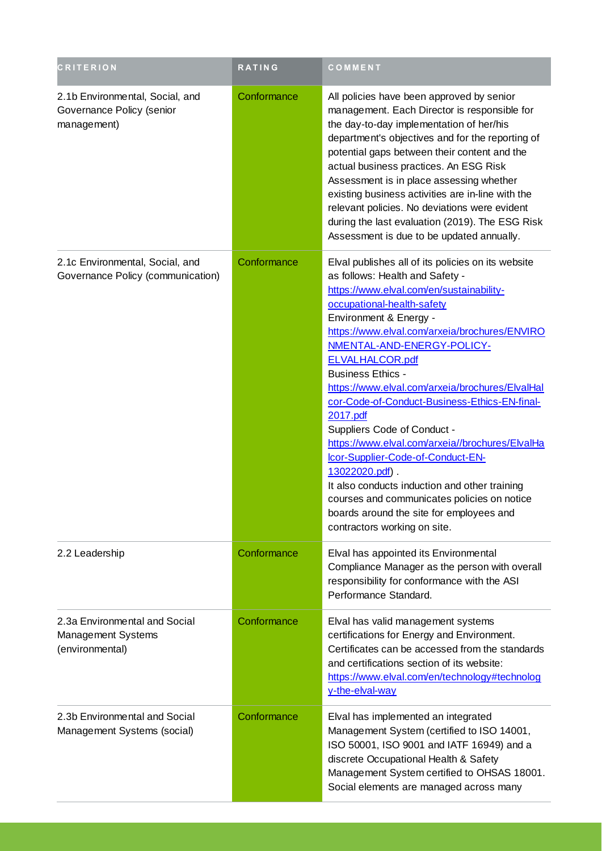| <b>CRITERION</b>                                                            | <b>RATING</b> | COMMENT                                                                                                                                                                                                                                                                                                                                                                                                                                                                                                                                                                                                                                                                                                                                                             |
|-----------------------------------------------------------------------------|---------------|---------------------------------------------------------------------------------------------------------------------------------------------------------------------------------------------------------------------------------------------------------------------------------------------------------------------------------------------------------------------------------------------------------------------------------------------------------------------------------------------------------------------------------------------------------------------------------------------------------------------------------------------------------------------------------------------------------------------------------------------------------------------|
| 2.1b Environmental, Social, and<br>Governance Policy (senior<br>management) | Conformance   | All policies have been approved by senior<br>management. Each Director is responsible for<br>the day-to-day implementation of her/his<br>department's objectives and for the reporting of<br>potential gaps between their content and the<br>actual business practices. An ESG Risk<br>Assessment is in place assessing whether<br>existing business activities are in-line with the<br>relevant policies. No deviations were evident<br>during the last evaluation (2019). The ESG Risk<br>Assessment is due to be updated annually.                                                                                                                                                                                                                               |
| 2.1c Environmental, Social, and<br>Governance Policy (communication)        | Conformance   | Elval publishes all of its policies on its website<br>as follows: Health and Safety -<br>https://www.elval.com/en/sustainability-<br>occupational-health-safety<br>Environment & Energy -<br>https://www.elval.com/arxeia/brochures/ENVIRO<br>NMENTAL-AND-ENERGY-POLICY-<br><b>ELVALHALCOR.pdf</b><br><b>Business Ethics -</b><br>https://www.elval.com/arxeia/brochures/ElvalHal<br>cor-Code-of-Conduct-Business-Ethics-EN-final-<br>2017.pdf<br>Suppliers Code of Conduct -<br>https://www.elval.com/arxeia//brochures/ElvalHa<br>Icor-Supplier-Code-of-Conduct-EN-<br>13022020.pdf).<br>It also conducts induction and other training<br>courses and communicates policies on notice<br>boards around the site for employees and<br>contractors working on site. |
| 2.2 Leadership                                                              | Conformance   | Elval has appointed its Environmental<br>Compliance Manager as the person with overall<br>responsibility for conformance with the ASI<br>Performance Standard.                                                                                                                                                                                                                                                                                                                                                                                                                                                                                                                                                                                                      |
| 2.3a Environmental and Social<br>Management Systems<br>(environmental)      | Conformance   | Elval has valid management systems<br>certifications for Energy and Environment.<br>Certificates can be accessed from the standards<br>and certifications section of its website:<br>https://www.elval.com/en/technology#technolog<br>y-the-elval-way                                                                                                                                                                                                                                                                                                                                                                                                                                                                                                               |
| 2.3b Environmental and Social<br>Management Systems (social)                | Conformance   | Elval has implemented an integrated<br>Management System (certified to ISO 14001,<br>ISO 50001, ISO 9001 and IATF 16949) and a<br>discrete Occupational Health & Safety<br>Management System certified to OHSAS 18001.<br>Social elements are managed across many                                                                                                                                                                                                                                                                                                                                                                                                                                                                                                   |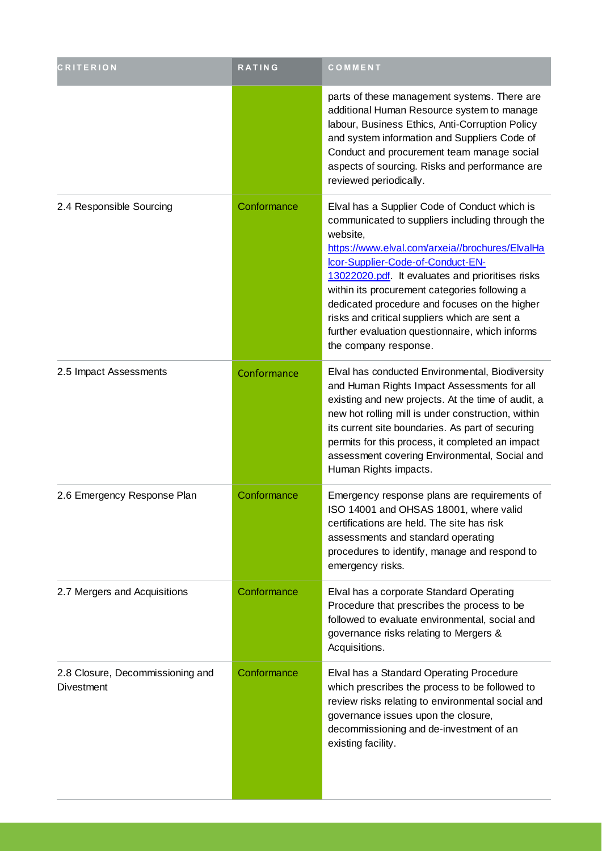| <b>CRITERION</b>                               | <b>RATING</b> | COMMENT                                                                                                                                                                                                                                                                                                                                                                                                                                                                                 |
|------------------------------------------------|---------------|-----------------------------------------------------------------------------------------------------------------------------------------------------------------------------------------------------------------------------------------------------------------------------------------------------------------------------------------------------------------------------------------------------------------------------------------------------------------------------------------|
|                                                |               | parts of these management systems. There are<br>additional Human Resource system to manage<br>labour, Business Ethics, Anti-Corruption Policy<br>and system information and Suppliers Code of<br>Conduct and procurement team manage social<br>aspects of sourcing. Risks and performance are<br>reviewed periodically.                                                                                                                                                                 |
| 2.4 Responsible Sourcing                       | Conformance   | Elval has a Supplier Code of Conduct which is<br>communicated to suppliers including through the<br>website,<br>https://www.elval.com/arxeia//brochures/ElvalHa<br>Icor-Supplier-Code-of-Conduct-EN-<br>13022020.pdf. It evaluates and prioritises risks<br>within its procurement categories following a<br>dedicated procedure and focuses on the higher<br>risks and critical suppliers which are sent a<br>further evaluation questionnaire, which informs<br>the company response. |
| 2.5 Impact Assessments                         | Conformance   | Elval has conducted Environmental, Biodiversity<br>and Human Rights Impact Assessments for all<br>existing and new projects. At the time of audit, a<br>new hot rolling mill is under construction, within<br>its current site boundaries. As part of securing<br>permits for this process, it completed an impact<br>assessment covering Environmental, Social and<br>Human Rights impacts.                                                                                            |
| 2.6 Emergency Response Plan                    | Conformance   | Emergency response plans are requirements of<br>ISO 14001 and OHSAS 18001, where valid<br>certifications are held. The site has risk<br>assessments and standard operating<br>procedures to identify, manage and respond to<br>emergency risks.                                                                                                                                                                                                                                         |
| 2.7 Mergers and Acquisitions                   | Conformance   | Elval has a corporate Standard Operating<br>Procedure that prescribes the process to be<br>followed to evaluate environmental, social and<br>governance risks relating to Mergers &<br>Acquisitions.                                                                                                                                                                                                                                                                                    |
| 2.8 Closure, Decommissioning and<br>Divestment | Conformance   | Elval has a Standard Operating Procedure<br>which prescribes the process to be followed to<br>review risks relating to environmental social and<br>governance issues upon the closure,<br>decommissioning and de-investment of an<br>existing facility.                                                                                                                                                                                                                                 |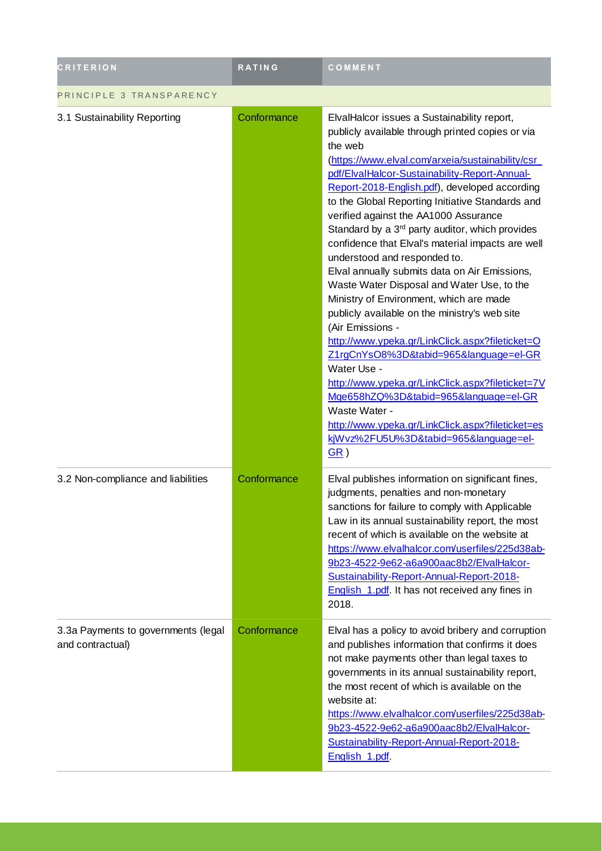| <b>CRITERION</b>                                        | RATING      | COMMENT                                                                                                                                                                                                                                                                                                                                                                                                                                                                                                                                                                                                                                                                                                                                                                                                                                                                                                                                                                                                                                              |  |
|---------------------------------------------------------|-------------|------------------------------------------------------------------------------------------------------------------------------------------------------------------------------------------------------------------------------------------------------------------------------------------------------------------------------------------------------------------------------------------------------------------------------------------------------------------------------------------------------------------------------------------------------------------------------------------------------------------------------------------------------------------------------------------------------------------------------------------------------------------------------------------------------------------------------------------------------------------------------------------------------------------------------------------------------------------------------------------------------------------------------------------------------|--|
| PRINCIPLE 3 TRANSPARENCY                                |             |                                                                                                                                                                                                                                                                                                                                                                                                                                                                                                                                                                                                                                                                                                                                                                                                                                                                                                                                                                                                                                                      |  |
| 3.1 Sustainability Reporting                            | Conformance | ElvalHalcor issues a Sustainability report,<br>publicly available through printed copies or via<br>the web<br>(https://www.elval.com/arxeia/sustainability/csr<br>pdf/ElvalHalcor-Sustainability-Report-Annual-<br>Report-2018-English.pdf), developed according<br>to the Global Reporting Initiative Standards and<br>verified against the AA1000 Assurance<br>Standard by a $3rd$ party auditor, which provides<br>confidence that Elval's material impacts are well<br>understood and responded to.<br>Elval annually submits data on Air Emissions,<br>Waste Water Disposal and Water Use, to the<br>Ministry of Environment, which are made<br>publicly available on the ministry's web site<br>(Air Emissions -<br>http://www.ypeka.gr/LinkClick.aspx?fileticket=O<br>Z1rgCnYsO8%3D&tabid=965&language=el-GR<br>Water Use -<br>http://www.ypeka.gr/LinkClick.aspx?fileticket=7V<br>Mge658hZQ%3D&tabid=965&language=el-GR<br>Waste Water -<br>http://www.ypeka.gr/LinkClick.aspx?fileticket=es<br>kjWvz%2FU5U%3D&tabid=965&language=el-<br>GR) |  |
| 3.2 Non-compliance and liabilities                      | Conformance | Elval publishes information on significant fines,<br>judgments, penalties and non-monetary<br>sanctions for failure to comply with Applicable<br>Law in its annual sustainability report, the most<br>recent of which is available on the website at<br>https://www.elvalhalcor.com/userfiles/225d38ab-<br>9b23-4522-9e62-a6a900aac8b2/ElvalHalcor-<br>Sustainability-Report-Annual-Report-2018-<br>English_1.pdf. It has not received any fines in<br>2018.                                                                                                                                                                                                                                                                                                                                                                                                                                                                                                                                                                                         |  |
| 3.3a Payments to governments (legal<br>and contractual) | Conformance | Elval has a policy to avoid bribery and corruption<br>and publishes information that confirms it does<br>not make payments other than legal taxes to<br>governments in its annual sustainability report,<br>the most recent of which is available on the<br>website at:<br>https://www.elvalhalcor.com/userfiles/225d38ab-<br>9b23-4522-9e62-a6a900aac8b2/ElvalHalcor-<br>Sustainability-Report-Annual-Report-2018-<br>English_1.pdf                                                                                                                                                                                                                                                                                                                                                                                                                                                                                                                                                                                                                 |  |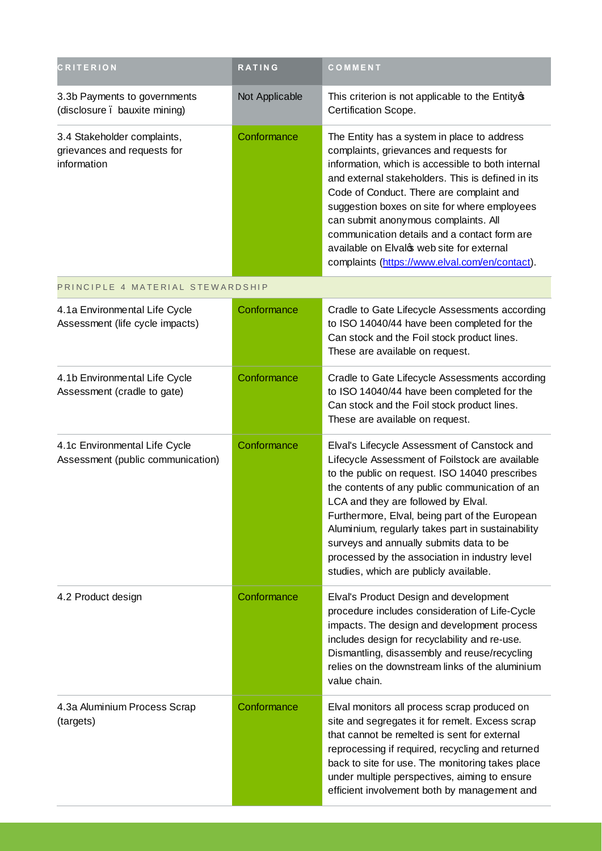| <b>CRITERION</b>                                                          | <b>RATING</b>  | COMMENT                                                                                                                                                                                                                                                                                                                                                                                                                                                                                  |
|---------------------------------------------------------------------------|----------------|------------------------------------------------------------------------------------------------------------------------------------------------------------------------------------------------------------------------------------------------------------------------------------------------------------------------------------------------------------------------------------------------------------------------------------------------------------------------------------------|
| 3.3b Payments to governments<br>(disclosure . bauxite mining)             | Not Applicable | This criterion is not applicable to the Entity of<br>Certification Scope.                                                                                                                                                                                                                                                                                                                                                                                                                |
| 3.4 Stakeholder complaints,<br>grievances and requests for<br>information | Conformance    | The Entity has a system in place to address<br>complaints, grievances and requests for<br>information, which is accessible to both internal<br>and external stakeholders. This is defined in its<br>Code of Conduct. There are complaint and<br>suggestion boxes on site for where employees<br>can submit anonymous complaints. All<br>communication details and a contact form are<br>available on Elvalos web site for external<br>complaints (https://www.elval.com/en/contact).     |
| PRINCIPLE 4 MATERIAL STEWARDSHIP                                          |                |                                                                                                                                                                                                                                                                                                                                                                                                                                                                                          |
| 4.1a Environmental Life Cycle<br>Assessment (life cycle impacts)          | Conformance    | Cradle to Gate Lifecycle Assessments according<br>to ISO 14040/44 have been completed for the<br>Can stock and the Foil stock product lines.<br>These are available on request.                                                                                                                                                                                                                                                                                                          |
| 4.1b Environmental Life Cycle<br>Assessment (cradle to gate)              | Conformance    | Cradle to Gate Lifecycle Assessments according<br>to ISO 14040/44 have been completed for the<br>Can stock and the Foil stock product lines.<br>These are available on request.                                                                                                                                                                                                                                                                                                          |
| 4.1c Environmental Life Cycle<br>Assessment (public communication)        | Conformance    | Elval's Lifecycle Assessment of Canstock and<br>Lifecycle Assessment of Foilstock are available<br>to the public on request. ISO 14040 prescribes<br>the contents of any public communication of an<br>LCA and they are followed by Elval.<br>Furthermore, Elval, being part of the European<br>Aluminium, regularly takes part in sustainability<br>surveys and annually submits data to be<br>processed by the association in industry level<br>studies, which are publicly available. |
| 4.2 Product design                                                        | Conformance    | Elval's Product Design and development<br>procedure includes consideration of Life-Cycle<br>impacts. The design and development process<br>includes design for recyclability and re-use.<br>Dismantling, disassembly and reuse/recycling<br>relies on the downstream links of the aluminium<br>value chain.                                                                                                                                                                              |
| 4.3a Aluminium Process Scrap<br>(targets)                                 | Conformance    | Elval monitors all process scrap produced on<br>site and segregates it for remelt. Excess scrap<br>that cannot be remelted is sent for external<br>reprocessing if required, recycling and returned<br>back to site for use. The monitoring takes place<br>under multiple perspectives, aiming to ensure<br>efficient involvement both by management and                                                                                                                                 |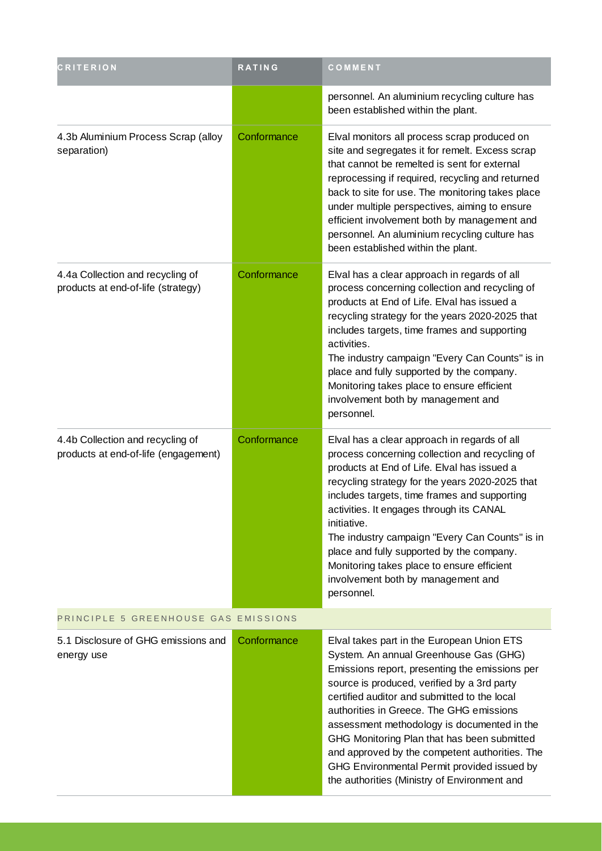| <b>CRITERION</b>                                                         | <b>RATING</b> | COMMENT                                                                                                                                                                                                                                                                                                                                                                                                                                                                                                                          |  |
|--------------------------------------------------------------------------|---------------|----------------------------------------------------------------------------------------------------------------------------------------------------------------------------------------------------------------------------------------------------------------------------------------------------------------------------------------------------------------------------------------------------------------------------------------------------------------------------------------------------------------------------------|--|
|                                                                          |               | personnel. An aluminium recycling culture has<br>been established within the plant.                                                                                                                                                                                                                                                                                                                                                                                                                                              |  |
| 4.3b Aluminium Process Scrap (alloy<br>separation)                       | Conformance   | Elval monitors all process scrap produced on<br>site and segregates it for remelt. Excess scrap<br>that cannot be remelted is sent for external<br>reprocessing if required, recycling and returned<br>back to site for use. The monitoring takes place<br>under multiple perspectives, aiming to ensure<br>efficient involvement both by management and<br>personnel. An aluminium recycling culture has<br>been established within the plant.                                                                                  |  |
| 4.4a Collection and recycling of<br>products at end-of-life (strategy)   | Conformance   | Elval has a clear approach in regards of all<br>process concerning collection and recycling of<br>products at End of Life. Elval has issued a<br>recycling strategy for the years 2020-2025 that<br>includes targets, time frames and supporting<br>activities.<br>The industry campaign "Every Can Counts" is in<br>place and fully supported by the company.<br>Monitoring takes place to ensure efficient<br>involvement both by management and<br>personnel.                                                                 |  |
| 4.4b Collection and recycling of<br>products at end-of-life (engagement) | Conformance   | Elval has a clear approach in regards of all<br>process concerning collection and recycling of<br>products at End of Life. Elval has issued a<br>recycling strategy for the years 2020-2025 that<br>includes targets, time frames and supporting<br>activities. It engages through its CANAL<br>initiative.<br>The industry campaign "Every Can Counts" is in<br>place and fully supported by the company.<br>Monitoring takes place to ensure efficient<br>involvement both by management and<br>personnel.                     |  |
| PRINCIPLE 5 GREENHOUSE GAS EMISSIONS                                     |               |                                                                                                                                                                                                                                                                                                                                                                                                                                                                                                                                  |  |
| 5.1 Disclosure of GHG emissions and<br>energy use                        | Conformance   | Elval takes part in the European Union ETS<br>System. An annual Greenhouse Gas (GHG)<br>Emissions report, presenting the emissions per<br>source is produced, verified by a 3rd party<br>certified auditor and submitted to the local<br>authorities in Greece. The GHG emissions<br>assessment methodology is documented in the<br>GHG Monitoring Plan that has been submitted<br>and approved by the competent authorities. The<br>GHG Environmental Permit provided issued by<br>the authorities (Ministry of Environment and |  |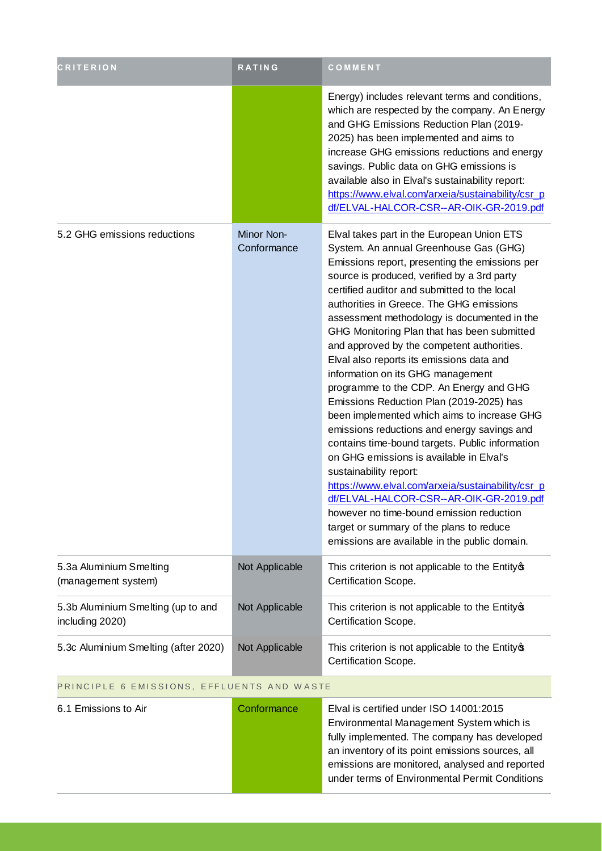| <b>CRITERION</b>                                      | RATING                    | COMMENT                                                                                                                                                                                                                                                                                                                                                                                                                                                                                                                                                                                                                                                                                                                                                                                                                                                                                                                                                                                                                                                                |
|-------------------------------------------------------|---------------------------|------------------------------------------------------------------------------------------------------------------------------------------------------------------------------------------------------------------------------------------------------------------------------------------------------------------------------------------------------------------------------------------------------------------------------------------------------------------------------------------------------------------------------------------------------------------------------------------------------------------------------------------------------------------------------------------------------------------------------------------------------------------------------------------------------------------------------------------------------------------------------------------------------------------------------------------------------------------------------------------------------------------------------------------------------------------------|
|                                                       |                           | Energy) includes relevant terms and conditions,<br>which are respected by the company. An Energy<br>and GHG Emissions Reduction Plan (2019-<br>2025) has been implemented and aims to<br>increase GHG emissions reductions and energy<br>savings. Public data on GHG emissions is<br>available also in Elval's sustainability report:<br>https://www.elval.com/arxeia/sustainability/csr_p<br>df/ELVAL-HALCOR-CSR--AR-OIK-GR-2019.pdf                                                                                                                                                                                                                                                                                                                                                                                                                                                                                                                                                                                                                                  |
| 5.2 GHG emissions reductions                          | Minor Non-<br>Conformance | Elval takes part in the European Union ETS<br>System. An annual Greenhouse Gas (GHG)<br>Emissions report, presenting the emissions per<br>source is produced, verified by a 3rd party<br>certified auditor and submitted to the local<br>authorities in Greece. The GHG emissions<br>assessment methodology is documented in the<br>GHG Monitoring Plan that has been submitted<br>and approved by the competent authorities.<br>Elval also reports its emissions data and<br>information on its GHG management<br>programme to the CDP. An Energy and GHG<br>Emissions Reduction Plan (2019-2025) has<br>been implemented which aims to increase GHG<br>emissions reductions and energy savings and<br>contains time-bound targets. Public information<br>on GHG emissions is available in Elval's<br>sustainability report:<br>https://www.elval.com/arxeia/sustainability/csr p<br>df/ELVAL-HALCOR-CSR--AR-OIK-GR-2019.pdf<br>however no time-bound emission reduction<br>target or summary of the plans to reduce<br>emissions are available in the public domain. |
| 5.3a Aluminium Smelting<br>(management system)        | Not Applicable            | This criterion is not applicable to the Entity of<br>Certification Scope.                                                                                                                                                                                                                                                                                                                                                                                                                                                                                                                                                                                                                                                                                                                                                                                                                                                                                                                                                                                              |
| 5.3b Aluminium Smelting (up to and<br>including 2020) | Not Applicable            | This criterion is not applicable to the Entity of<br>Certification Scope.                                                                                                                                                                                                                                                                                                                                                                                                                                                                                                                                                                                                                                                                                                                                                                                                                                                                                                                                                                                              |
| 5.3c Aluminium Smelting (after 2020)                  | Not Applicable            | This criterion is not applicable to the Entity of<br>Certification Scope.                                                                                                                                                                                                                                                                                                                                                                                                                                                                                                                                                                                                                                                                                                                                                                                                                                                                                                                                                                                              |
| PRINCIPLE 6 EMISSIONS, EFFLUENTS AND WASTE            |                           |                                                                                                                                                                                                                                                                                                                                                                                                                                                                                                                                                                                                                                                                                                                                                                                                                                                                                                                                                                                                                                                                        |

| 6.1 Emissions to Air | Conformance | Elval is certified under ISO 14001:2015          |
|----------------------|-------------|--------------------------------------------------|
|                      |             | Environmental Management System which is         |
|                      |             | fully implemented. The company has developed     |
|                      |             | an inventory of its point emissions sources, all |
|                      |             | emissions are monitored, analysed and reported   |
|                      |             | under terms of Environmental Permit Conditions   |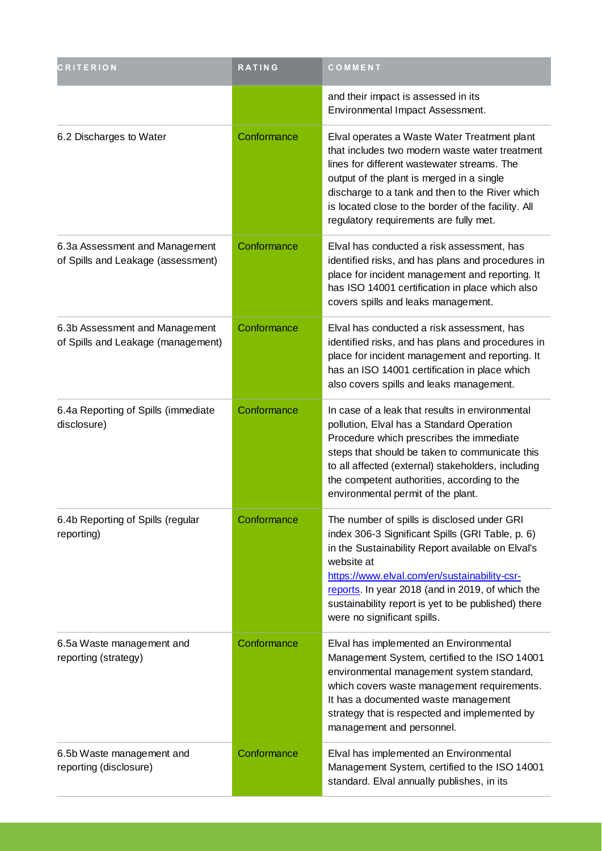| <b>CRITERION</b>                                                     | <b>RATING</b> | COMMENT                                                                                                                                                                                                                                                                                                                                                      |
|----------------------------------------------------------------------|---------------|--------------------------------------------------------------------------------------------------------------------------------------------------------------------------------------------------------------------------------------------------------------------------------------------------------------------------------------------------------------|
|                                                                      |               | and their impact is assessed in its<br>Environmental Impact Assessment.                                                                                                                                                                                                                                                                                      |
| 6.2 Discharges to Water                                              | Conformance   | Elval operates a Waste Water Treatment plant<br>that includes two modern waste water treatment<br>lines for different wastewater streams. The<br>output of the plant is merged in a single<br>discharge to a tank and then to the River which<br>is located close to the border of the facility. All<br>regulatory requirements are fully met.               |
| 6.3a Assessment and Management<br>of Spills and Leakage (assessment) | Conformance   | Elval has conducted a risk assessment, has<br>identified risks, and has plans and procedures in<br>place for incident management and reporting. It<br>has ISO 14001 certification in place which also<br>covers spills and leaks management.                                                                                                                 |
| 6.3b Assessment and Management<br>of Spills and Leakage (management) | Conformance   | Elval has conducted a risk assessment, has<br>identified risks, and has plans and procedures in<br>place for incident management and reporting. It<br>has an ISO 14001 certification in place which<br>also covers spills and leaks management.                                                                                                              |
| 6.4a Reporting of Spills (immediate<br>disclosure)                   | Conformance   | In case of a leak that results in environmental<br>pollution, Elval has a Standard Operation<br>Procedure which prescribes the immediate<br>steps that should be taken to communicate this<br>to all affected (external) stakeholders, including<br>the competent authorities, according to the<br>environmental permit of the plant.                        |
| 6.4b Reporting of Spills (regular<br>reporting)                      | Conformance   | The number of spills is disclosed under GRI<br>index 306-3 Significant Spills (GRI Table, p. 6)<br>in the Sustainability Report available on Elval's<br>website at<br>https://www.elval.com/en/sustainability-csr-<br>reports. In year 2018 (and in 2019, of which the<br>sustainability report is yet to be published) there<br>were no significant spills. |
| 6.5a Waste management and<br>reporting (strategy)                    | Conformance   | Elval has implemented an Environmental<br>Management System, certified to the ISO 14001<br>environmental management system standard,<br>which covers waste management requirements.<br>It has a documented waste management<br>strategy that is respected and implemented by<br>management and personnel.                                                    |
| 6.5b Waste management and<br>reporting (disclosure)                  | Conformance   | Elval has implemented an Environmental<br>Management System, certified to the ISO 14001<br>standard. Elval annually publishes, in its                                                                                                                                                                                                                        |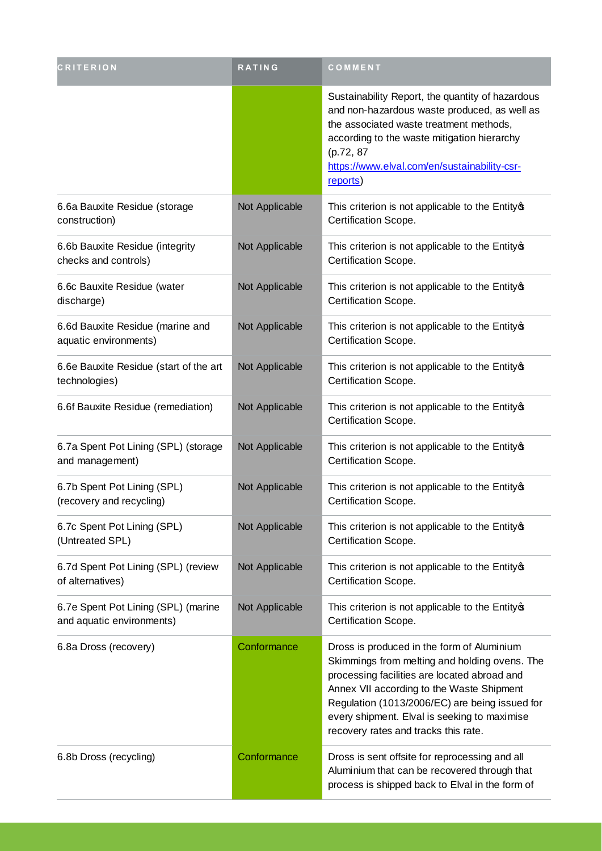| CRITERION                                                        | RATING         | COMMENT                                                                                                                                                                                                                                                                                                                            |  |
|------------------------------------------------------------------|----------------|------------------------------------------------------------------------------------------------------------------------------------------------------------------------------------------------------------------------------------------------------------------------------------------------------------------------------------|--|
|                                                                  |                | Sustainability Report, the quantity of hazardous<br>and non-hazardous waste produced, as well as<br>the associated waste treatment methods,<br>according to the waste mitigation hierarchy<br>(p.72, 87<br>https://www.elval.com/en/sustainability-csr-<br>reports)                                                                |  |
| 6.6a Bauxite Residue (storage<br>construction)                   | Not Applicable | This criterion is not applicable to the Entity®<br>Certification Scope.                                                                                                                                                                                                                                                            |  |
| 6.6b Bauxite Residue (integrity<br>checks and controls)          | Not Applicable | This criterion is not applicable to the Entity of<br>Certification Scope.                                                                                                                                                                                                                                                          |  |
| 6.6c Bauxite Residue (water<br>discharge)                        | Not Applicable | This criterion is not applicable to the Entity of<br>Certification Scope.                                                                                                                                                                                                                                                          |  |
| 6.6d Bauxite Residue (marine and<br>aquatic environments)        | Not Applicable | This criterion is not applicable to the Entity®<br>Certification Scope.                                                                                                                                                                                                                                                            |  |
| 6.6e Bauxite Residue (start of the art<br>technologies)          | Not Applicable | This criterion is not applicable to the Entity of<br>Certification Scope.                                                                                                                                                                                                                                                          |  |
| 6.6f Bauxite Residue (remediation)                               | Not Applicable | This criterion is not applicable to the Entity of<br>Certification Scope.                                                                                                                                                                                                                                                          |  |
| 6.7a Spent Pot Lining (SPL) (storage<br>and management)          | Not Applicable | This criterion is not applicable to the Entity of<br>Certification Scope.                                                                                                                                                                                                                                                          |  |
| 6.7b Spent Pot Lining (SPL)<br>(recovery and recycling)          | Not Applicable | This criterion is not applicable to the Entity of<br>Certification Scope.                                                                                                                                                                                                                                                          |  |
| 6.7c Spent Pot Lining (SPL)<br>(Untreated SPL)                   | Not Applicable | This criterion is not applicable to the Entity of<br>Certification Scope.                                                                                                                                                                                                                                                          |  |
| 6.7d Spent Pot Lining (SPL) (review<br>of alternatives)          | Not Applicable | This criterion is not applicable to the Entity of<br>Certification Scope.                                                                                                                                                                                                                                                          |  |
| 6.7e Spent Pot Lining (SPL) (marine<br>and aquatic environments) | Not Applicable | This criterion is not applicable to the Entity of<br>Certification Scope.                                                                                                                                                                                                                                                          |  |
| 6.8a Dross (recovery)                                            | Conformance    | Dross is produced in the form of Aluminium<br>Skimmings from melting and holding ovens. The<br>processing facilities are located abroad and<br>Annex VII according to the Waste Shipment<br>Regulation (1013/2006/EC) are being issued for<br>every shipment. Elval is seeking to maximise<br>recovery rates and tracks this rate. |  |
| 6.8b Dross (recycling)                                           | Conformance    | Dross is sent offsite for reprocessing and all<br>Aluminium that can be recovered through that<br>process is shipped back to Elval in the form of                                                                                                                                                                                  |  |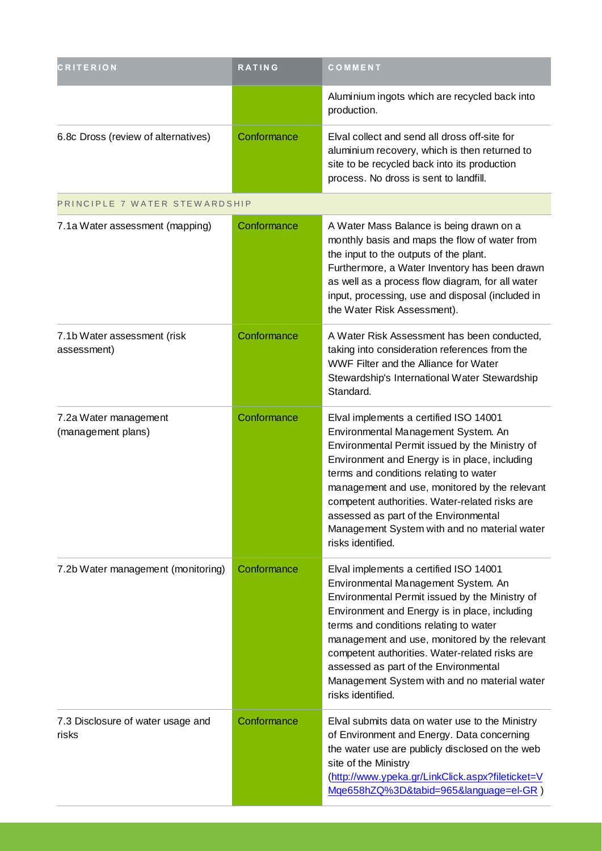| <b>CRITERION</b>                            | <b>RATING</b> | COMMENT                                                                                                                                                                                                                                                                                                                                                                                                                                     |
|---------------------------------------------|---------------|---------------------------------------------------------------------------------------------------------------------------------------------------------------------------------------------------------------------------------------------------------------------------------------------------------------------------------------------------------------------------------------------------------------------------------------------|
|                                             |               | Aluminium ingots which are recycled back into<br>production.                                                                                                                                                                                                                                                                                                                                                                                |
| 6.8c Dross (review of alternatives)         | Conformance   | Elval collect and send all dross off-site for<br>aluminium recovery, which is then returned to<br>site to be recycled back into its production<br>process. No dross is sent to landfill.                                                                                                                                                                                                                                                    |
| PRINCIPLE 7 WATER STEWARDSHIP               |               |                                                                                                                                                                                                                                                                                                                                                                                                                                             |
| 7.1a Water assessment (mapping)             | Conformance   | A Water Mass Balance is being drawn on a<br>monthly basis and maps the flow of water from<br>the input to the outputs of the plant.<br>Furthermore, a Water Inventory has been drawn<br>as well as a process flow diagram, for all water<br>input, processing, use and disposal (included in<br>the Water Risk Assessment).                                                                                                                 |
| 7.1b Water assessment (risk<br>assessment)  | Conformance   | A Water Risk Assessment has been conducted,<br>taking into consideration references from the<br>WWF Filter and the Alliance for Water<br>Stewardship's International Water Stewardship<br>Standard.                                                                                                                                                                                                                                         |
| 7.2a Water management<br>(management plans) | Conformance   | Elval implements a certified ISO 14001<br>Environmental Management System. An<br>Environmental Permit issued by the Ministry of<br>Environment and Energy is in place, including<br>terms and conditions relating to water<br>management and use, monitored by the relevant<br>competent authorities. Water-related risks are<br>assessed as part of the Environmental<br>Management System with and no material water<br>risks identified. |
| 7.2b Water management (monitoring)          | Conformance   | Elval implements a certified ISO 14001<br>Environmental Management System. An<br>Environmental Permit issued by the Ministry of<br>Environment and Energy is in place, including<br>terms and conditions relating to water<br>management and use, monitored by the relevant<br>competent authorities. Water-related risks are<br>assessed as part of the Environmental<br>Management System with and no material water<br>risks identified. |
| 7.3 Disclosure of water usage and<br>risks  | Conformance   | Elval submits data on water use to the Ministry<br>of Environment and Energy. Data concerning<br>the water use are publicly disclosed on the web<br>site of the Ministry<br>(http://www.ypeka.gr/LinkClick.aspx?fileticket=V<br>Mge658hZQ%3D&tabid=965&language=el-GR)                                                                                                                                                                      |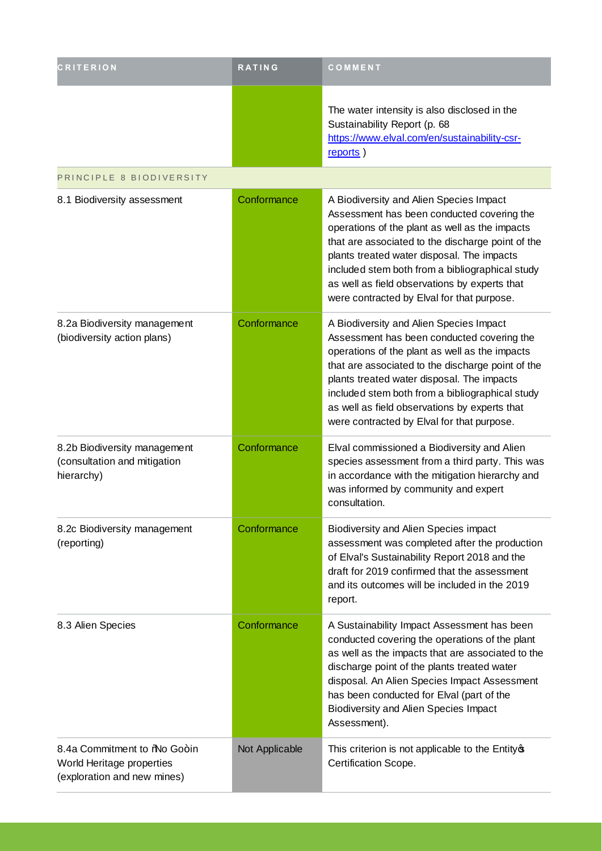| <b>CRITERION</b>                                                                       | <b>RATING</b>  | COMMENT                                                                                                                                                                                                                                                                                                                                                                                      |
|----------------------------------------------------------------------------------------|----------------|----------------------------------------------------------------------------------------------------------------------------------------------------------------------------------------------------------------------------------------------------------------------------------------------------------------------------------------------------------------------------------------------|
|                                                                                        |                | The water intensity is also disclosed in the<br>Sustainability Report (p. 68<br>https://www.elval.com/en/sustainability-csr-<br>reports)                                                                                                                                                                                                                                                     |
| PRINCIPLE 8 BIODIVERSITY                                                               |                |                                                                                                                                                                                                                                                                                                                                                                                              |
| 8.1 Biodiversity assessment                                                            | Conformance    | A Biodiversity and Alien Species Impact<br>Assessment has been conducted covering the<br>operations of the plant as well as the impacts<br>that are associated to the discharge point of the<br>plants treated water disposal. The impacts<br>included stem both from a bibliographical study<br>as well as field observations by experts that<br>were contracted by Elval for that purpose. |
| 8.2a Biodiversity management<br>(biodiversity action plans)                            | Conformance    | A Biodiversity and Alien Species Impact<br>Assessment has been conducted covering the<br>operations of the plant as well as the impacts<br>that are associated to the discharge point of the<br>plants treated water disposal. The impacts<br>included stem both from a bibliographical study<br>as well as field observations by experts that<br>were contracted by Elval for that purpose. |
| 8.2b Biodiversity management<br>(consultation and mitigation<br>hierarchy)             | Conformance    | Elval commissioned a Biodiversity and Alien<br>species assessment from a third party. This was<br>in accordance with the mitigation hierarchy and<br>was informed by community and expert<br>consultation.                                                                                                                                                                                   |
| 8.2c Biodiversity management<br>(reporting)                                            | Conformance    | <b>Biodiversity and Alien Species impact</b><br>assessment was completed after the production<br>of Elval's Sustainability Report 2018 and the<br>draft for 2019 confirmed that the assessment<br>and its outcomes will be included in the 2019<br>report.                                                                                                                                   |
| 8.3 Alien Species                                                                      | Conformance    | A Sustainability Impact Assessment has been<br>conducted covering the operations of the plant<br>as well as the impacts that are associated to the<br>discharge point of the plants treated water<br>disposal. An Alien Species Impact Assessment<br>has been conducted for Elval (part of the<br>Biodiversity and Alien Species Impact<br>Assessment).                                      |
| 8.4a Commitment to % Go+in<br>World Heritage properties<br>(exploration and new mines) | Not Applicable | This criterion is not applicable to the Entity of<br>Certification Scope.                                                                                                                                                                                                                                                                                                                    |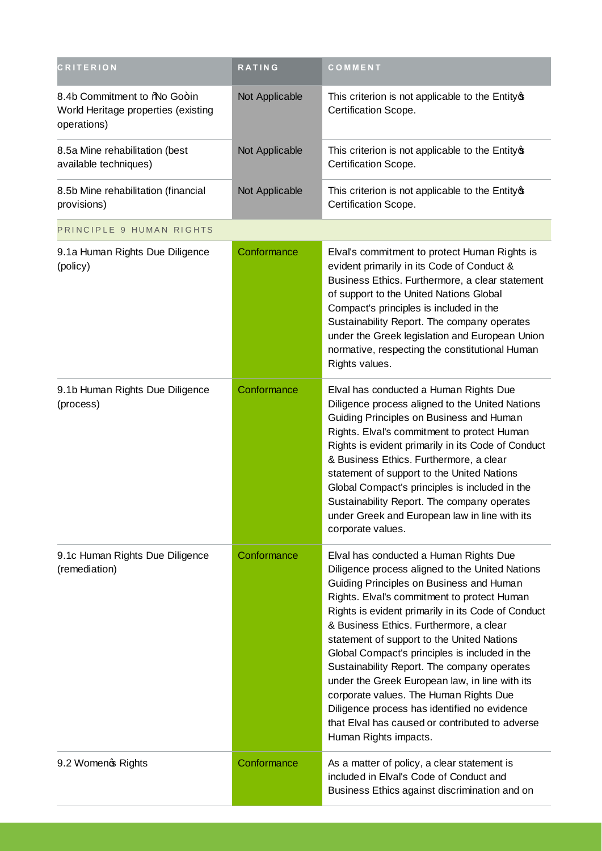| <b>CRITERION</b>                                                                   | <b>RATING</b>  | COMMENT                                                                                                                                                                                                                                                                                                                                                                                                                                                                                                                                                                                                                                                      |
|------------------------------------------------------------------------------------|----------------|--------------------------------------------------------------------------------------------------------------------------------------------------------------------------------------------------------------------------------------------------------------------------------------------------------------------------------------------------------------------------------------------------------------------------------------------------------------------------------------------------------------------------------------------------------------------------------------------------------------------------------------------------------------|
| 8.4b Commitment to %No Go+in<br>World Heritage properties (existing<br>operations) | Not Applicable | This criterion is not applicable to the Entity of<br>Certification Scope.                                                                                                                                                                                                                                                                                                                                                                                                                                                                                                                                                                                    |
| 8.5a Mine rehabilitation (best<br>available techniques)                            | Not Applicable | This criterion is not applicable to the Entity of<br>Certification Scope.                                                                                                                                                                                                                                                                                                                                                                                                                                                                                                                                                                                    |
| 8.5b Mine rehabilitation (financial<br>provisions)                                 | Not Applicable | This criterion is not applicable to the Entity of<br>Certification Scope.                                                                                                                                                                                                                                                                                                                                                                                                                                                                                                                                                                                    |
| PRINCIPLE 9 HUMAN RIGHTS                                                           |                |                                                                                                                                                                                                                                                                                                                                                                                                                                                                                                                                                                                                                                                              |
| 9.1a Human Rights Due Diligence<br>(policy)                                        | Conformance    | Elval's commitment to protect Human Rights is<br>evident primarily in its Code of Conduct &<br>Business Ethics. Furthermore, a clear statement<br>of support to the United Nations Global<br>Compact's principles is included in the<br>Sustainability Report. The company operates<br>under the Greek legislation and European Union<br>normative, respecting the constitutional Human<br>Rights values.                                                                                                                                                                                                                                                    |
| 9.1b Human Rights Due Diligence<br>(process)                                       | Conformance    | Elval has conducted a Human Rights Due<br>Diligence process aligned to the United Nations<br>Guiding Principles on Business and Human<br>Rights. Elval's commitment to protect Human<br>Rights is evident primarily in its Code of Conduct<br>& Business Ethics. Furthermore, a clear<br>statement of support to the United Nations<br>Global Compact's principles is included in the<br>Sustainability Report. The company operates<br>under Greek and European law in line with its<br>corporate values.                                                                                                                                                   |
| 9.1c Human Rights Due Diligence<br>(remediation)                                   | Conformance    | Elval has conducted a Human Rights Due<br>Diligence process aligned to the United Nations<br>Guiding Principles on Business and Human<br>Rights. Elval's commitment to protect Human<br>Rights is evident primarily in its Code of Conduct<br>& Business Ethics. Furthermore, a clear<br>statement of support to the United Nations<br>Global Compact's principles is included in the<br>Sustainability Report. The company operates<br>under the Greek European law, in line with its<br>corporate values. The Human Rights Due<br>Diligence process has identified no evidence<br>that Elval has caused or contributed to adverse<br>Human Rights impacts. |
| 9.2 Womeno Rights                                                                  | Conformance    | As a matter of policy, a clear statement is<br>included in Elval's Code of Conduct and<br>Business Ethics against discrimination and on                                                                                                                                                                                                                                                                                                                                                                                                                                                                                                                      |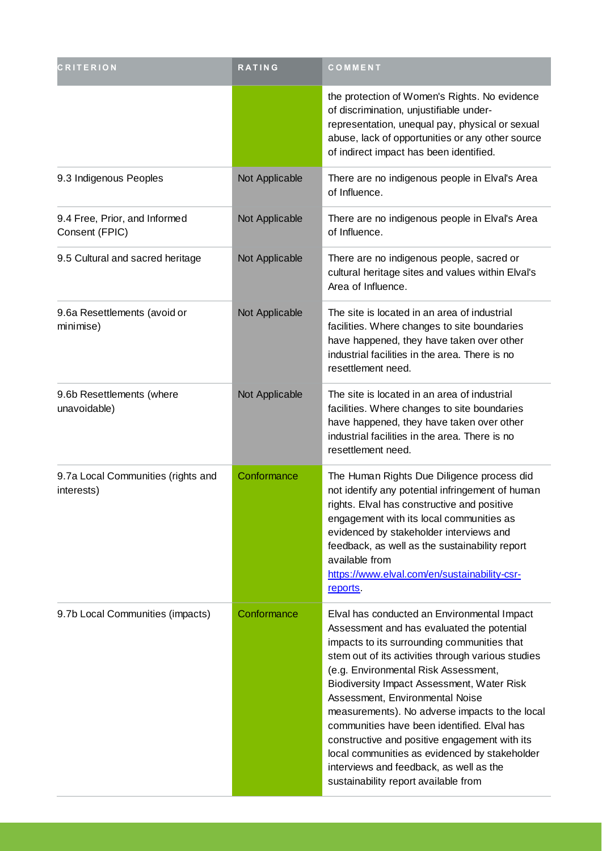| <b>CRITERION</b>                                 | <b>RATING</b>  | COMMENT                                                                                                                                                                                                                                                                                                                                                                                                                                                                                                                                                                                                       |
|--------------------------------------------------|----------------|---------------------------------------------------------------------------------------------------------------------------------------------------------------------------------------------------------------------------------------------------------------------------------------------------------------------------------------------------------------------------------------------------------------------------------------------------------------------------------------------------------------------------------------------------------------------------------------------------------------|
|                                                  |                | the protection of Women's Rights. No evidence<br>of discrimination, unjustifiable under-<br>representation, unequal pay, physical or sexual<br>abuse, lack of opportunities or any other source<br>of indirect impact has been identified.                                                                                                                                                                                                                                                                                                                                                                    |
| 9.3 Indigenous Peoples                           | Not Applicable | There are no indigenous people in Elval's Area<br>of Influence.                                                                                                                                                                                                                                                                                                                                                                                                                                                                                                                                               |
| 9.4 Free, Prior, and Informed<br>Consent (FPIC)  | Not Applicable | There are no indigenous people in Elval's Area<br>of Influence.                                                                                                                                                                                                                                                                                                                                                                                                                                                                                                                                               |
| 9.5 Cultural and sacred heritage                 | Not Applicable | There are no indigenous people, sacred or<br>cultural heritage sites and values within Elval's<br>Area of Influence.                                                                                                                                                                                                                                                                                                                                                                                                                                                                                          |
| 9.6a Resettlements (avoid or<br>minimise)        | Not Applicable | The site is located in an area of industrial<br>facilities. Where changes to site boundaries<br>have happened, they have taken over other<br>industrial facilities in the area. There is no<br>resettlement need.                                                                                                                                                                                                                                                                                                                                                                                             |
| 9.6b Resettlements (where<br>unavoidable)        | Not Applicable | The site is located in an area of industrial<br>facilities. Where changes to site boundaries<br>have happened, they have taken over other<br>industrial facilities in the area. There is no<br>resettlement need.                                                                                                                                                                                                                                                                                                                                                                                             |
| 9.7a Local Communities (rights and<br>interests) | Conformance    | The Human Rights Due Diligence process did<br>not identify any potential infringement of human<br>rights. Elval has constructive and positive<br>engagement with its local communities as<br>evidenced by stakeholder interviews and<br>feedback, as well as the sustainability report<br>available from<br>https://www.elval.com/en/sustainability-csr-<br>reports.                                                                                                                                                                                                                                          |
| 9.7b Local Communities (impacts)                 | Conformance    | Elval has conducted an Environmental Impact<br>Assessment and has evaluated the potential<br>impacts to its surrounding communities that<br>stem out of its activities through various studies<br>(e.g. Environmental Risk Assessment,<br>Biodiversity Impact Assessment, Water Risk<br>Assessment, Environmental Noise<br>measurements). No adverse impacts to the local<br>communities have been identified. Elval has<br>constructive and positive engagement with its<br>local communities as evidenced by stakeholder<br>interviews and feedback, as well as the<br>sustainability report available from |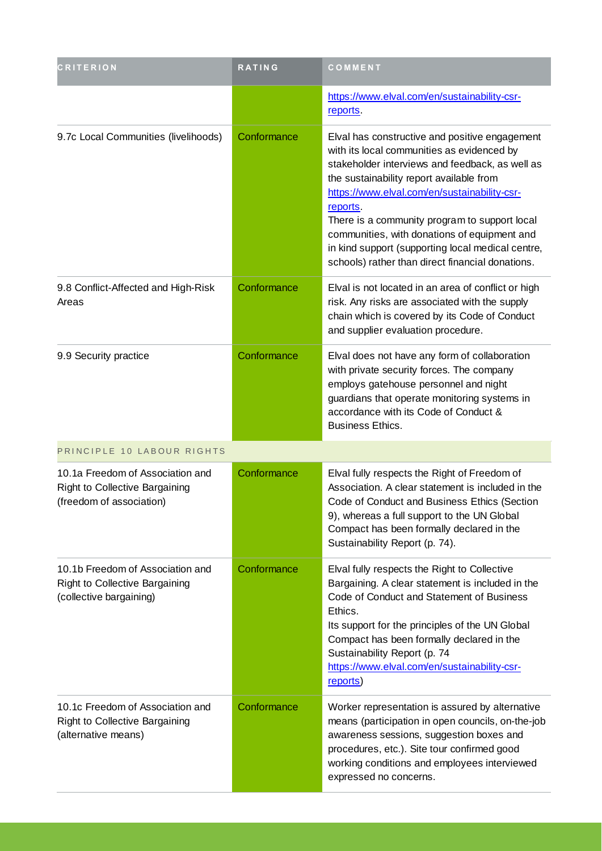| <b>CRITERION</b>                                                                               | <b>RATING</b> | COMMENT                                                                                                                                                                                                                                                                                                                                                                                                                                                           |
|------------------------------------------------------------------------------------------------|---------------|-------------------------------------------------------------------------------------------------------------------------------------------------------------------------------------------------------------------------------------------------------------------------------------------------------------------------------------------------------------------------------------------------------------------------------------------------------------------|
|                                                                                                |               | https://www.elval.com/en/sustainability-csr-<br>reports                                                                                                                                                                                                                                                                                                                                                                                                           |
| 9.7c Local Communities (livelihoods)                                                           | Conformance   | Elval has constructive and positive engagement<br>with its local communities as evidenced by<br>stakeholder interviews and feedback, as well as<br>the sustainability report available from<br>https://www.elval.com/en/sustainability-csr-<br>reports.<br>There is a community program to support local<br>communities, with donations of equipment and<br>in kind support (supporting local medical centre,<br>schools) rather than direct financial donations. |
| 9.8 Conflict-Affected and High-Risk<br>Areas                                                   | Conformance   | Elval is not located in an area of conflict or high<br>risk. Any risks are associated with the supply<br>chain which is covered by its Code of Conduct<br>and supplier evaluation procedure.                                                                                                                                                                                                                                                                      |
| 9.9 Security practice                                                                          | Conformance   | Elval does not have any form of collaboration<br>with private security forces. The company<br>employs gatehouse personnel and night<br>guardians that operate monitoring systems in<br>accordance with its Code of Conduct &<br><b>Business Ethics.</b>                                                                                                                                                                                                           |
| PRINCIPLE 10 LABOUR RIGHTS                                                                     |               |                                                                                                                                                                                                                                                                                                                                                                                                                                                                   |
| 10.1a Freedom of Association and<br>Right to Collective Bargaining<br>(freedom of association) | Conformance   | Elval fully respects the Right of Freedom of<br>Association. A clear statement is included in the<br>Code of Conduct and Business Ethics (Section<br>9), whereas a full support to the UN Global<br>Compact has been formally declared in the<br>Sustainability Report (p. 74).                                                                                                                                                                                   |
| 10.1b Freedom of Association and<br>Right to Collective Bargaining<br>(collective bargaining)  | Conformance   | Elval fully respects the Right to Collective<br>Bargaining. A clear statement is included in the<br>Code of Conduct and Statement of Business<br>Ethics.<br>Its support for the principles of the UN Global<br>Compact has been formally declared in the<br>Sustainability Report (p. 74<br>https://www.elval.com/en/sustainability-csr-<br>reports)                                                                                                              |
| 10.1c Freedom of Association and<br>Right to Collective Bargaining<br>(alternative means)      | Conformance   | Worker representation is assured by alternative<br>means (participation in open councils, on-the-job<br>awareness sessions, suggestion boxes and<br>procedures, etc.). Site tour confirmed good<br>working conditions and employees interviewed<br>expressed no concerns.                                                                                                                                                                                         |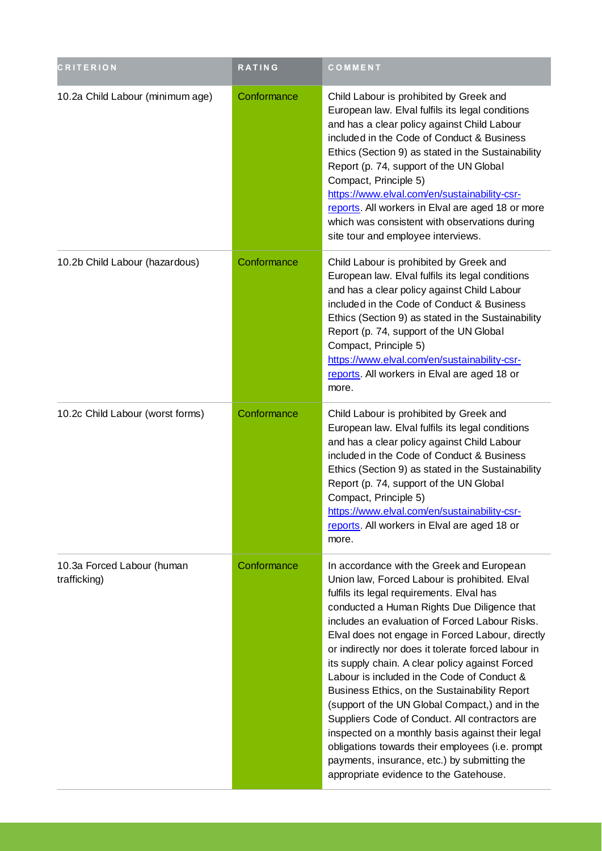| <b>CRITERION</b>                           | <b>RATING</b> | COMMENT                                                                                                                                                                                                                                                                                                                                                                                                                                                                                                                                                                                                                                                                                                                                                                                                      |
|--------------------------------------------|---------------|--------------------------------------------------------------------------------------------------------------------------------------------------------------------------------------------------------------------------------------------------------------------------------------------------------------------------------------------------------------------------------------------------------------------------------------------------------------------------------------------------------------------------------------------------------------------------------------------------------------------------------------------------------------------------------------------------------------------------------------------------------------------------------------------------------------|
| 10.2a Child Labour (minimum age)           | Conformance   | Child Labour is prohibited by Greek and<br>European law. Elval fulfils its legal conditions<br>and has a clear policy against Child Labour<br>included in the Code of Conduct & Business<br>Ethics (Section 9) as stated in the Sustainability<br>Report (p. 74, support of the UN Global<br>Compact, Principle 5)<br>https://www.elval.com/en/sustainability-csr-<br>reports. All workers in Elval are aged 18 or more<br>which was consistent with observations during<br>site tour and employee interviews.                                                                                                                                                                                                                                                                                               |
| 10.2b Child Labour (hazardous)             | Conformance   | Child Labour is prohibited by Greek and<br>European law. Elval fulfils its legal conditions<br>and has a clear policy against Child Labour<br>included in the Code of Conduct & Business<br>Ethics (Section 9) as stated in the Sustainability<br>Report (p. 74, support of the UN Global<br>Compact, Principle 5)<br>https://www.elval.com/en/sustainability-csr-<br>reports. All workers in Elval are aged 18 or<br>more.                                                                                                                                                                                                                                                                                                                                                                                  |
| 10.2c Child Labour (worst forms)           | Conformance   | Child Labour is prohibited by Greek and<br>European law. Elval fulfils its legal conditions<br>and has a clear policy against Child Labour<br>included in the Code of Conduct & Business<br>Ethics (Section 9) as stated in the Sustainability<br>Report (p. 74, support of the UN Global<br>Compact, Principle 5)<br>https://www.elval.com/en/sustainability-csr-<br>reports. All workers in Elval are aged 18 or<br>more.                                                                                                                                                                                                                                                                                                                                                                                  |
| 10.3a Forced Labour (human<br>trafficking) | Conformance   | In accordance with the Greek and European<br>Union law, Forced Labour is prohibited. Elval<br>fulfils its legal requirements. Elval has<br>conducted a Human Rights Due Diligence that<br>includes an evaluation of Forced Labour Risks.<br>Elval does not engage in Forced Labour, directly<br>or indirectly nor does it tolerate forced labour in<br>its supply chain. A clear policy against Forced<br>Labour is included in the Code of Conduct &<br>Business Ethics, on the Sustainability Report<br>(support of the UN Global Compact,) and in the<br>Suppliers Code of Conduct. All contractors are<br>inspected on a monthly basis against their legal<br>obligations towards their employees (i.e. prompt<br>payments, insurance, etc.) by submitting the<br>appropriate evidence to the Gatehouse. |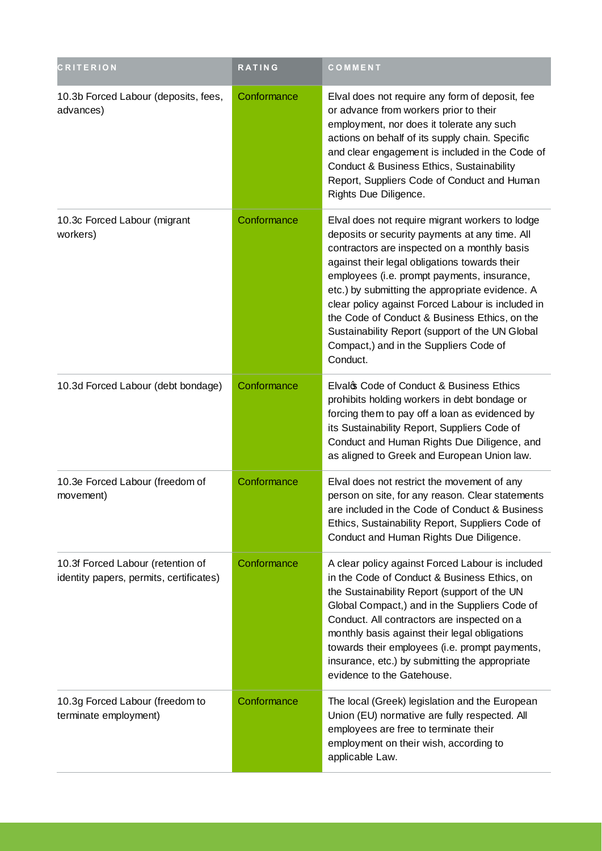| <b>CRITERION</b>                                                             | <b>RATING</b> | COMMENT                                                                                                                                                                                                                                                                                                                                                                                                                                                                                                             |
|------------------------------------------------------------------------------|---------------|---------------------------------------------------------------------------------------------------------------------------------------------------------------------------------------------------------------------------------------------------------------------------------------------------------------------------------------------------------------------------------------------------------------------------------------------------------------------------------------------------------------------|
| 10.3b Forced Labour (deposits, fees,<br>advances)                            | Conformance   | Elval does not require any form of deposit, fee<br>or advance from workers prior to their<br>employment, nor does it tolerate any such<br>actions on behalf of its supply chain. Specific<br>and clear engagement is included in the Code of<br>Conduct & Business Ethics, Sustainability<br>Report, Suppliers Code of Conduct and Human<br>Rights Due Diligence.                                                                                                                                                   |
| 10.3c Forced Labour (migrant<br>workers)                                     | Conformance   | Elval does not require migrant workers to lodge<br>deposits or security payments at any time. All<br>contractors are inspected on a monthly basis<br>against their legal obligations towards their<br>employees (i.e. prompt payments, insurance,<br>etc.) by submitting the appropriate evidence. A<br>clear policy against Forced Labour is included in<br>the Code of Conduct & Business Ethics, on the<br>Sustainability Report (support of the UN Global<br>Compact,) and in the Suppliers Code of<br>Conduct. |
| 10.3d Forced Labour (debt bondage)                                           | Conformance   | Elvalos Code of Conduct & Business Ethics<br>prohibits holding workers in debt bondage or<br>forcing them to pay off a loan as evidenced by<br>its Sustainability Report, Suppliers Code of<br>Conduct and Human Rights Due Diligence, and<br>as aligned to Greek and European Union law.                                                                                                                                                                                                                           |
| 10.3e Forced Labour (freedom of<br>movement)                                 | Conformance   | Elval does not restrict the movement of any<br>person on site, for any reason. Clear statements<br>are included in the Code of Conduct & Business<br>Ethics, Sustainability Report, Suppliers Code of<br>Conduct and Human Rights Due Diligence.                                                                                                                                                                                                                                                                    |
| 10.3f Forced Labour (retention of<br>identity papers, permits, certificates) | Conformance   | A clear policy against Forced Labour is included<br>in the Code of Conduct & Business Ethics, on<br>the Sustainability Report (support of the UN<br>Global Compact,) and in the Suppliers Code of<br>Conduct. All contractors are inspected on a<br>monthly basis against their legal obligations<br>towards their employees (i.e. prompt payments,<br>insurance, etc.) by submitting the appropriate<br>evidence to the Gatehouse.                                                                                 |
| 10.3g Forced Labour (freedom to<br>terminate employment)                     | Conformance   | The local (Greek) legislation and the European<br>Union (EU) normative are fully respected. All<br>employees are free to terminate their<br>employment on their wish, according to<br>applicable Law.                                                                                                                                                                                                                                                                                                               |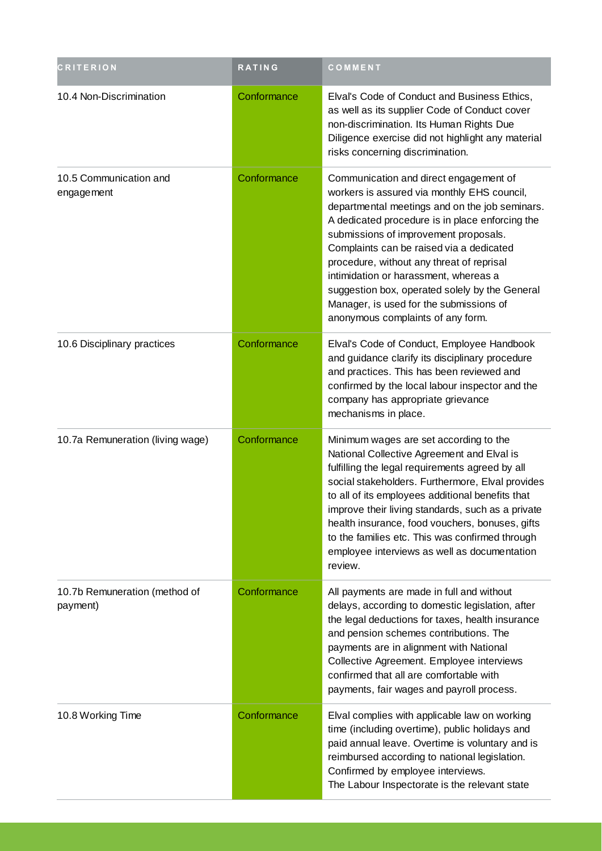| <b>CRITERION</b>                          | <b>RATING</b> | COMMENT                                                                                                                                                                                                                                                                                                                                                                                                                                                                                                 |
|-------------------------------------------|---------------|---------------------------------------------------------------------------------------------------------------------------------------------------------------------------------------------------------------------------------------------------------------------------------------------------------------------------------------------------------------------------------------------------------------------------------------------------------------------------------------------------------|
| 10.4 Non-Discrimination                   | Conformance   | Elval's Code of Conduct and Business Ethics,<br>as well as its supplier Code of Conduct cover<br>non-discrimination. Its Human Rights Due<br>Diligence exercise did not highlight any material<br>risks concerning discrimination.                                                                                                                                                                                                                                                                      |
| 10.5 Communication and<br>engagement      | Conformance   | Communication and direct engagement of<br>workers is assured via monthly EHS council,<br>departmental meetings and on the job seminars.<br>A dedicated procedure is in place enforcing the<br>submissions of improvement proposals.<br>Complaints can be raised via a dedicated<br>procedure, without any threat of reprisal<br>intimidation or harassment, whereas a<br>suggestion box, operated solely by the General<br>Manager, is used for the submissions of<br>anonymous complaints of any form. |
| 10.6 Disciplinary practices               | Conformance   | Elval's Code of Conduct, Employee Handbook<br>and guidance clarify its disciplinary procedure<br>and practices. This has been reviewed and<br>confirmed by the local labour inspector and the<br>company has appropriate grievance<br>mechanisms in place.                                                                                                                                                                                                                                              |
| 10.7a Remuneration (living wage)          | Conformance   | Minimum wages are set according to the<br>National Collective Agreement and Elval is<br>fulfilling the legal requirements agreed by all<br>social stakeholders. Furthermore, Elval provides<br>to all of its employees additional benefits that<br>improve their living standards, such as a private<br>health insurance, food vouchers, bonuses, gifts<br>to the families etc. This was confirmed through<br>employee interviews as well as documentation<br>review.                                   |
| 10.7b Remuneration (method of<br>payment) | Conformance   | All payments are made in full and without<br>delays, according to domestic legislation, after<br>the legal deductions for taxes, health insurance<br>and pension schemes contributions. The<br>payments are in alignment with National<br>Collective Agreement. Employee interviews<br>confirmed that all are comfortable with<br>payments, fair wages and payroll process.                                                                                                                             |
| 10.8 Working Time                         | Conformance   | Elval complies with applicable law on working<br>time (including overtime), public holidays and<br>paid annual leave. Overtime is voluntary and is<br>reimbursed according to national legislation.<br>Confirmed by employee interviews.<br>The Labour Inspectorate is the relevant state                                                                                                                                                                                                               |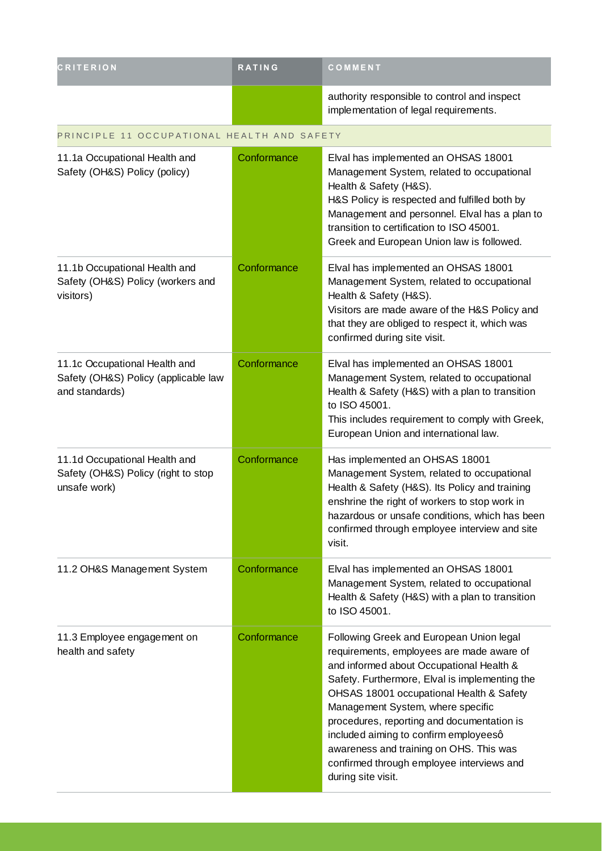| <b>CRITERION</b>                                                                        | <b>RATING</b> | COMMENT                                                                                                                                                                                                                                                                                                                                                                                                                                                                   |
|-----------------------------------------------------------------------------------------|---------------|---------------------------------------------------------------------------------------------------------------------------------------------------------------------------------------------------------------------------------------------------------------------------------------------------------------------------------------------------------------------------------------------------------------------------------------------------------------------------|
|                                                                                         |               | authority responsible to control and inspect<br>implementation of legal requirements.                                                                                                                                                                                                                                                                                                                                                                                     |
| PRINCIPLE 11 OCCUPATIONAL HEALTH AND SAFETY                                             |               |                                                                                                                                                                                                                                                                                                                                                                                                                                                                           |
| 11.1a Occupational Health and<br>Safety (OH&S) Policy (policy)                          | Conformance   | Elval has implemented an OHSAS 18001<br>Management System, related to occupational<br>Health & Safety (H&S).<br>H&S Policy is respected and fulfilled both by<br>Management and personnel. Elval has a plan to<br>transition to certification to ISO 45001.<br>Greek and European Union law is followed.                                                                                                                                                                  |
| 11.1b Occupational Health and<br>Safety (OH&S) Policy (workers and<br>visitors)         | Conformance   | Elval has implemented an OHSAS 18001<br>Management System, related to occupational<br>Health & Safety (H&S).<br>Visitors are made aware of the H&S Policy and<br>that they are obliged to respect it, which was<br>confirmed during site visit.                                                                                                                                                                                                                           |
| 11.1c Occupational Health and<br>Safety (OH&S) Policy (applicable law<br>and standards) | Conformance   | Elval has implemented an OHSAS 18001<br>Management System, related to occupational<br>Health & Safety (H&S) with a plan to transition<br>to ISO 45001.<br>This includes requirement to comply with Greek,<br>European Union and international law.                                                                                                                                                                                                                        |
| 11.1d Occupational Health and<br>Safety (OH&S) Policy (right to stop<br>unsafe work)    | Conformance   | Has implemented an OHSAS 18001<br>Management System, related to occupational<br>Health & Safety (H&S). Its Policy and training<br>enshrine the right of workers to stop work in<br>hazardous or unsafe conditions, which has been<br>confirmed through employee interview and site<br>visit.                                                                                                                                                                              |
| 11.2 OH&S Management System                                                             | Conformance   | Elval has implemented an OHSAS 18001<br>Management System, related to occupational<br>Health & Safety (H&S) with a plan to transition<br>to ISO 45001.                                                                                                                                                                                                                                                                                                                    |
| 11.3 Employee engagement on<br>health and safety                                        | Conformance   | Following Greek and European Union legal<br>requirements, employees are made aware of<br>and informed about Occupational Health &<br>Safety. Furthermore, Elval is implementing the<br>OHSAS 18001 occupational Health & Safety<br>Management System, where specific<br>procedures, reporting and documentation is<br>included aiming to confirm employeesq<br>awareness and training on OHS. This was<br>confirmed through employee interviews and<br>during site visit. |